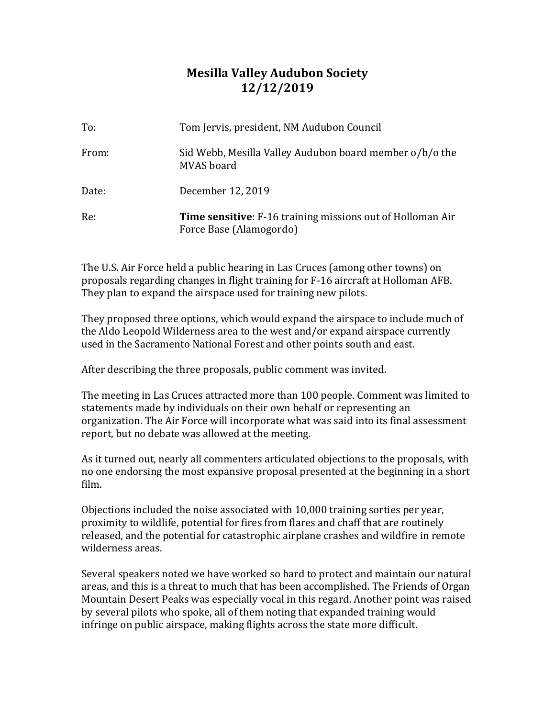## **Mesilla Valley Audubon Society 12/12/2019**

| To:   | Tom Jervis, president, NM Audubon Council                                                    |
|-------|----------------------------------------------------------------------------------------------|
| From: | Sid Webb, Mesilla Valley Audubon board member o/b/o the<br>MVAS board                        |
| Date: | December 12, 2019                                                                            |
| Re:   | <b>Time sensitive:</b> F-16 training missions out of Holloman Air<br>Force Base (Alamogordo) |

The U.S. Air Force held a public hearing in Las Cruces (among other towns) on proposals regarding changes in flight training for F-16 aircraft at Holloman AFB. They plan to expand the airspace used for training new pilots.

They proposed three options, which would expand the airspace to include much of the Aldo Leopold Wilderness area to the west and/or expand airspace currently used in the Sacramento National Forest and other points south and east.

After describing the three proposals, public comment was invited.

The meeting in Las Cruces attracted more than 100 people. Comment was limited to statements made by individuals on their own behalf or representing an organization. The Air Force will incorporate what was said into its final assessment report, but no debate was allowed at the meeting.

As it turned out, nearly all commenters articulated objections to the proposals, with no one endorsing the most expansive proposal presented at the beginning in a short film.

Objections included the noise associated with 10,000 training sorties per year, proximity to wildlife, potential for fires from flares and chaff that are routinely released, and the potential for catastrophic airplane crashes and wildfire in remote wilderness areas.

Several speakers noted we have worked so hard to protect and maintain our natural areas, and this is a threat to much that has been accomplished. The Friends of Organ Mountain Desert Peaks was especially vocal in this regard. Another point was raised by several pilots who spoke, all of them noting that expanded training would infringe on public airspace, making flights across the state more difficult.